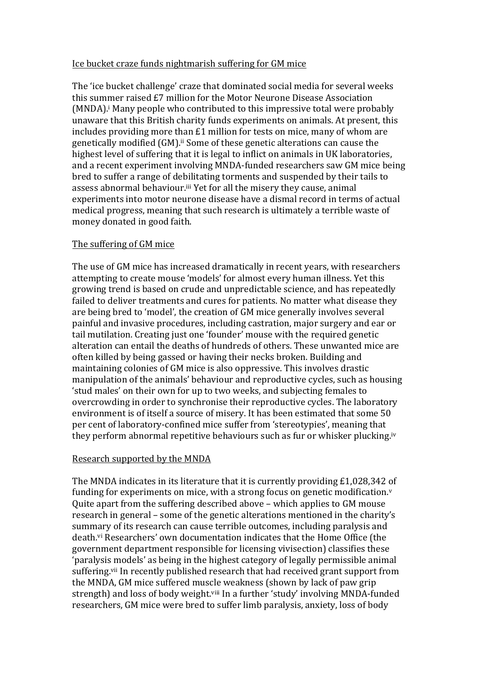## Ice bucket craze funds nightmarish suffering for GM mice

The 'ice bucket challenge' craze that dominated social media for several weeks this summer raised £7 million for the Motor Neurone Disease Association  $(MNDA)$ .<sup>i</sup> Many people who contributed to this impressive total were probably unaware that this British charity funds experiments on animals. At present, this includes providing more than  $£1$  million for tests on mice, many of whom are genetically modified (GM).<sup>ii</sup> Some of these genetic alterations can cause the highest level of suffering that it is legal to inflict on animals in UK laboratories, and a recent experiment involving MNDA-funded researchers saw GM mice being bred to suffer a range of debilitating torments and suspended by their tails to assess abnormal behaviour.<sup>iii</sup> Yet for all the misery they cause, animal experiments into motor neurone disease have a dismal record in terms of actual medical progress, meaning that such research is ultimately a terrible waste of money donated in good faith.

## The suffering of GM mice

The use of GM mice has increased dramatically in recent years, with researchers attempting to create mouse 'models' for almost every human illness. Yet this growing trend is based on crude and unpredictable science, and has repeatedly failed to deliver treatments and cures for patients. No matter what disease they are being bred to 'model', the creation of GM mice generally involves several painful and invasive procedures, including castration, major surgery and ear or tail mutilation. Creating just one 'founder' mouse with the required genetic alteration can entail the deaths of hundreds of others. These unwanted mice are often killed by being gassed or having their necks broken. Building and maintaining colonies of GM mice is also oppressive. This involves drastic manipulation of the animals' behaviour and reproductive cycles, such as housing 'stud males' on their own for up to two weeks, and subjecting females to overcrowding in order to synchronise their reproductive cycles. The laboratory environment is of itself a source of misery. It has been estimated that some 50 per cent of laboratory-confined mice suffer from 'stereotypies', meaning that they perform abnormal repetitive behaviours such as fur or whisker plucking.<sup>iv</sup>

## Research supported by the MNDA

The MNDA indicates in its literature that it is currently providing  $£1,028,342$  of funding for experiments on mice, with a strong focus on genetic modification. $v$ Quite apart from the suffering described above – which applies to GM mouse research in general – some of the genetic alterations mentioned in the charity's summary of its research can cause terrible outcomes, including paralysis and death.<sup>vi</sup> Researchers' own documentation indicates that the Home Office (the government department responsible for licensing vivisection) classifies these 'paralysis models' as being in the highest category of legally permissible animal suffering.<sup>vii</sup> In recently published research that had received grant support from the MNDA, GM mice suffered muscle weakness (shown by lack of paw grip strength) and loss of body weight.<sup>viii</sup> In a further 'study' involving MNDA-funded researchers, GM mice were bred to suffer limb paralysis, anxiety, loss of body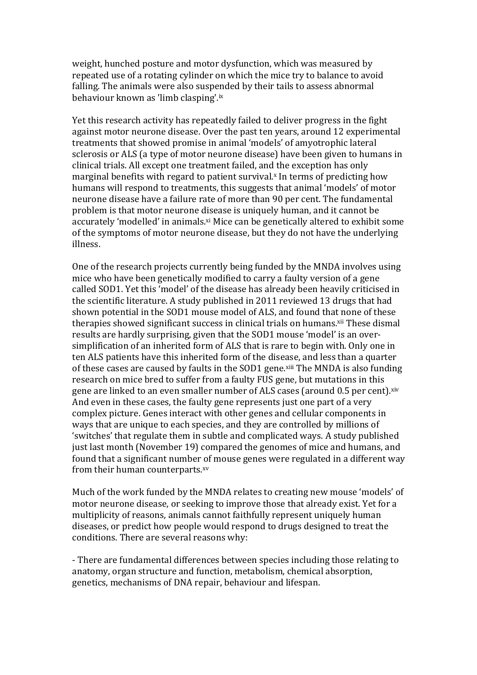weight, hunched posture and motor dysfunction, which was measured by repeated use of a rotating cylinder on which the mice try to balance to avoid falling. The animals were also suspended by their tails to assess abnormal behaviour known as 'limb clasping'.ix

Yet this research activity has repeatedly failed to deliver progress in the fight against motor neurone disease. Over the past ten years, around 12 experimental treatments that showed promise in animal 'models' of amyotrophic lateral sclerosis or ALS (a type of motor neurone disease) have been given to humans in clinical trials. All except one treatment failed, and the exception has only marginal benefits with regard to patient survival.<sup>x</sup> In terms of predicting how humans will respond to treatments, this suggests that animal 'models' of motor neurone disease have a failure rate of more than 90 per cent. The fundamental problem is that motor neurone disease is uniquely human, and it cannot be accurately 'modelled' in animals.<sup>xi</sup> Mice can be genetically altered to exhibit some of the symptoms of motor neurone disease, but they do not have the underlying illness. 

One of the research projects currently being funded by the MNDA involves using mice who have been genetically modified to carry a faulty version of a gene called SOD1. Yet this 'model' of the disease has already been heavily criticised in the scientific literature. A study published in 2011 reviewed 13 drugs that had shown potential in the SOD1 mouse model of ALS, and found that none of these therapies showed significant success in clinical trials on humans.<sup>xii</sup> These dismal results are hardly surprising, given that the SOD1 mouse 'model' is an oversimplification of an inherited form of ALS that is rare to begin with. Only one in ten ALS patients have this inherited form of the disease, and less than a quarter of these cases are caused by faults in the SOD1 gene.<sup>xiii</sup> The MNDA is also funding research on mice bred to suffer from a faulty FUS gene, but mutations in this gene are linked to an even smaller number of ALS cases (around 0.5 per cent).<sup>xiv</sup> And even in these cases, the faulty gene represents just one part of a very complex picture. Genes interact with other genes and cellular components in ways that are unique to each species, and they are controlled by millions of 'switches' that regulate them in subtle and complicated ways. A study published just last month (November 19) compared the genomes of mice and humans, and found that a significant number of mouse genes were regulated in a different way from their human counterparts.xv

Much of the work funded by the MNDA relates to creating new mouse 'models' of motor neurone disease, or seeking to improve those that already exist. Yet for a multiplicity of reasons, animals cannot faithfully represent uniquely human diseases, or predict how people would respond to drugs designed to treat the conditions. There are several reasons why:

- There are fundamental differences between species including those relating to anatomy, organ structure and function, metabolism, chemical absorption, genetics, mechanisms of DNA repair, behaviour and lifespan.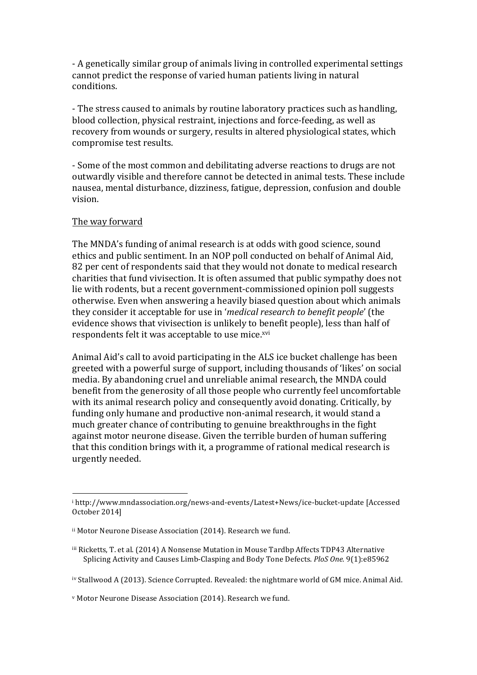- A genetically similar group of animals living in controlled experimental settings cannot predict the response of varied human patients living in natural conditions.

- The stress caused to animals by routine laboratory practices such as handling, blood collection, physical restraint, injections and force-feeding, as well as recovery from wounds or surgery, results in altered physiological states, which compromise test results.

- Some of the most common and debilitating adverse reactions to drugs are not outwardly visible and therefore cannot be detected in animal tests. These include nausea, mental disturbance, dizziness, fatigue, depression, confusion and double vision. 

## The way forward

The MNDA's funding of animal research is at odds with good science, sound ethics and public sentiment. In an NOP poll conducted on behalf of Animal Aid, 82 per cent of respondents said that they would not donate to medical research charities that fund vivisection. It is often assumed that public sympathy does not lie with rodents, but a recent government-commissioned opinion poll suggests otherwise. Even when answering a heavily biased question about which animals they consider it acceptable for use in '*medical research to benefit people'* (the evidence shows that vivisection is unlikely to benefit people), less than half of respondents felt it was acceptable to use mice.<sup>xvi</sup>

Animal Aid's call to avoid participating in the ALS ice bucket challenge has been greeted with a powerful surge of support, including thousands of 'likes' on social media. By abandoning cruel and unreliable animal research, the MNDA could benefit from the generosity of all those people who currently feel uncomfortable with its animal research policy and consequently avoid donating. Critically, by funding only humane and productive non-animal research, it would stand a much greater chance of contributing to genuine breakthroughs in the fight against motor neurone disease. Given the terrible burden of human suffering that this condition brings with it, a programme of rational medical research is urgently needed.

 

<sup>&</sup>lt;sup>i</sup> http://www.mndassociation.org/news-and-events/Latest+News/ice-bucket-update [Accessed October 2014]

ii Motor Neurone Disease Association (2014). Research we fund.

iii Ricketts, T. et al. (2014) A Nonsense Mutation in Mouse Tardbp Affects TDP43 Alternative Splicing Activity and Causes Limb-Clasping and Body Tone Defects. *PloS One.* 9(1):e85962

iv Stallwood A (2013). Science Corrupted. Revealed: the nightmare world of GM mice. Animal Aid.

v Motor Neurone Disease Association (2014). Research we fund.